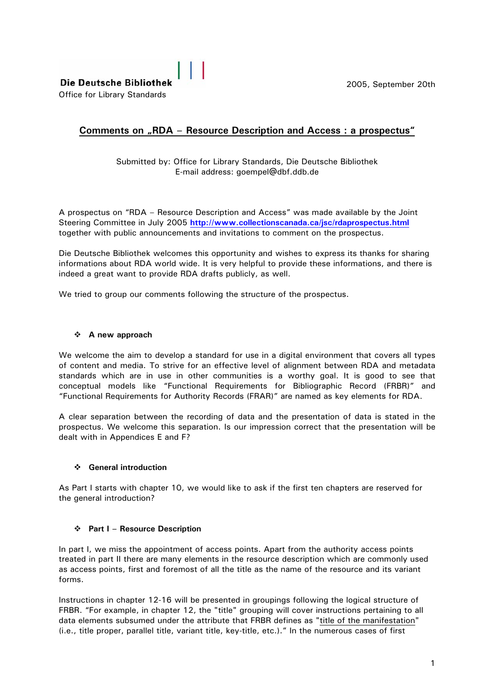2005, September 20th

# **Comments on "RDA - Resource Description and Access: a prospectus"**

Submitted by: Office for Library Standards, Die Deutsche Bibliothek E-mail address: goempel@dbf.ddb.de

A prospectus on "RDA – Resource Description and Access" was made available by the Joint Steering Committee in July 2005 **<http://www.collectionscanada.ca/jsc/rdaprospectus.html>** together with public announcements and invitations to comment on the prospectus.

Die Deutsche Bibliothek welcomes this opportunity and wishes to express its thanks for sharing informations about RDA world wide. It is very helpful to provide these informations, and there is indeed a great want to provide RDA drafts publicly, as well.

We tried to group our comments following the structure of the prospectus.

## **A new approach**

We welcome the aim to develop a standard for use in a digital environment that covers all types of content and media. To strive for an effective level of alignment between RDA and metadata standards which are in use in other communities is a worthy goal. It is good to see that conceptual models like "Functional Requirements for Bibliographic Record (FRBR)" and "Functional Requirements for Authority Records (FRAR)" are named as key elements for RDA.

A clear separation between the recording of data and the presentation of data is stated in the prospectus. We welcome this separation. Is our impression correct that the presentation will be dealt with in Appendices E and F?

### **General introduction**

As Part I starts with chapter 10, we would like to ask if the first ten chapters are reserved for the general introduction?

### **Part I – Resource Description**

In part I, we miss the appointment of access points. Apart from the authority access points treated in part II there are many elements in the resource description which are commonly used as access points, first and foremost of all the title as the name of the resource and its variant forms.

Instructions in chapter 12-16 will be presented in groupings following the logical structure of FRBR. "For example, in chapter 12, the "title" grouping will cover instructions pertaining to all data elements subsumed under the attribute that FRBR defines as "title of the manifestation" (i.e., title proper, parallel title, variant title, key-title, etc.)." In the numerous cases of first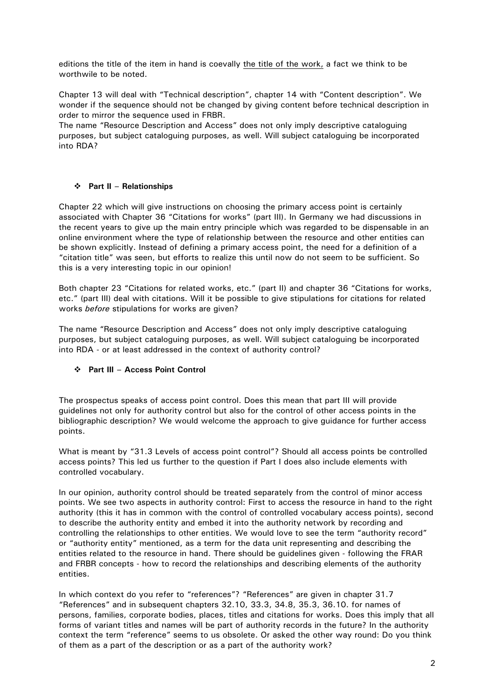editions the title of the item in hand is coevally the title of the work, a fact we think to be worthwile to be noted.

Chapter 13 will deal with "Technical description", chapter 14 with "Content description". We wonder if the sequence should not be changed by giving content before technical description in order to mirror the sequence used in FRBR.

The name "Resource Description and Access" does not only imply descriptive cataloguing purposes, but subject cataloguing purposes, as well. Will subject cataloguing be incorporated into RDA?

# **Part II – Relationships**

Chapter 22 which will give instructions on choosing the primary access point is certainly associated with Chapter 36 "Citations for works" (part III). In Germany we had discussions in the recent years to give up the main entry principle which was regarded to be dispensable in an online environment where the type of relationship between the resource and other entities can be shown explicitly. Instead of defining a primary access point, the need for a definition of a "citation title" was seen, but efforts to realize this until now do not seem to be sufficient. So this is a very interesting topic in our opinion!

Both chapter 23 "Citations for related works, etc." (part II) and chapter 36 "Citations for works, etc." (part III) deal with citations. Will it be possible to give stipulations for citations for related works *before* stipulations for works are given?

The name "Resource Description and Access" does not only imply descriptive cataloguing purposes, but subject cataloguing purposes, as well. Will subject cataloguing be incorporated into RDA - or at least addressed in the context of authority control?

# **Part III – Access Point Control**

The prospectus speaks of access point control. Does this mean that part III will provide guidelines not only for authority control but also for the control of other access points in the bibliographic description? We would welcome the approach to give guidance for further access points.

What is meant by "31.3 Levels of access point control"? Should all access points be controlled access points? This led us further to the question if Part I does also include elements with controlled vocabulary.

In our opinion, authority control should be treated separately from the control of minor access points. We see two aspects in authority control: First to access the resource in hand to the right authority (this it has in common with the control of controlled vocabulary access points), second to describe the authority entity and embed it into the authority network by recording and controlling the relationships to other entities. We would love to see the term "authority record" or "authority entity" mentioned, as a term for the data unit representing and describing the entities related to the resource in hand. There should be guidelines given - following the FRAR and FRBR concepts - how to record the relationships and describing elements of the authority entities.

In which context do you refer to "references"? "References" are given in chapter 31.7 "References" and in subsequent chapters 32.10, 33.3, 34.8, 35.3, 36.10. for names of persons, families, corporate bodies, places, titles and citations for works. Does this imply that all forms of variant titles and names will be part of authority records in the future? In the authority context the term "reference" seems to us obsolete. Or asked the other way round: Do you think of them as a part of the description or as a part of the authority work?